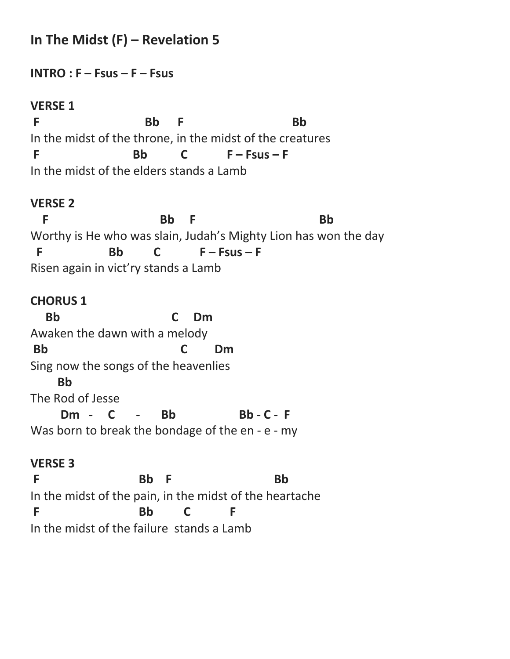# **In The Midst (F) – Revelation 5**

**INTRO : F – Fsus – F – Fsus** 

**VERSE 1** F Bb F Bb In the midst of the throne, in the midst of the creatures **F Bb C F – Fsus – F** In the midst of the elders stands a Lamb

#### **VERSE 2**

**F** Bb F Bb Worthy is He who was slain, Judah's Mighty Lion has won the day **F Bb C F – Fsus – F** Risen again in vict'ry stands a Lamb

#### **CHORUS 1**

 **Bb C Dm** Awaken the dawn with a melody **Bb C Dm** Sing now the songs of the heavenlies  **Bb** The Rod of Jesse Dm - C - Bb Bb-C-F Was born to break the bondage of the en - e - my

#### **VERSE 3**

F Bb F Bb In the midst of the pain, in the midst of the heartache **F Bb C F** In the midst of the failure stands a Lamb